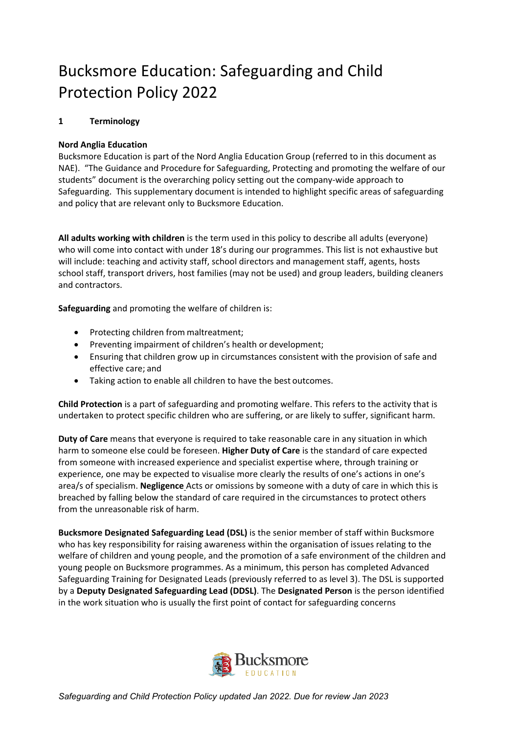# Bucksmore Education: Safeguarding and Child Protection Policy 2022

# **1 Terminology**

## **Nord Anglia Education**

Bucksmore Education is part of the Nord Anglia Education Group (referred to in this document as NAE). "The Guidance and Procedure for Safeguarding, Protecting and promoting the welfare of our students" document is the overarching policy setting out the company-wide approach to Safeguarding. This supplementary document is intended to highlight specific areas of safeguarding and policy that are relevant only to Bucksmore Education.

**All adults working with children** is the term used in this policy to describe all adults (everyone) who will come into contact with under 18's during our programmes. This list is not exhaustive but will include: teaching and activity staff, school directors and management staff, agents, hosts school staff, transport drivers, host families (may not be used) and group leaders, building cleaners and contractors.

**Safeguarding** and promoting the welfare of children is:

- Protecting children from maltreatment;
- Preventing impairment of children's health or development;
- Ensuring that children grow up in circumstances consistent with the provision of safe and effective care; and
- Taking action to enable all children to have the best outcomes.

**Child Protection** is a part of safeguarding and promoting welfare. This refers to the activity that is undertaken to protect specific children who are suffering, or are likely to suffer, significant harm.

**Duty of Care** means that everyone is required to take reasonable care in any situation in which harm to someone else could be foreseen. **Higher Duty of Care** is the standard of care expected from someone with increased experience and specialist expertise where, through training or experience, one may be expected to visualise more clearly the results of one's actions in one's area/s of specialism. **Negligence** Acts or omissions by someone with a duty of care in which this is breached by falling below the standard of care required in the circumstances to protect others from the unreasonable risk of harm.

**Bucksmore Designated Safeguarding Lead (DSL)** is the senior member of staff within Bucksmore who has key responsibility for raising awareness within the organisation of issues relating to the welfare of children and young people, and the promotion of a safe environment of the children and young people on Bucksmore programmes. As a minimum, this person has completed Advanced Safeguarding Training for Designated Leads (previously referred to as level 3). The DSL is supported by a **Deputy Designated Safeguarding Lead (DDSL)**. The **Designated Person** is the person identified in the work situation who is usually the first point of contact for safeguarding concerns

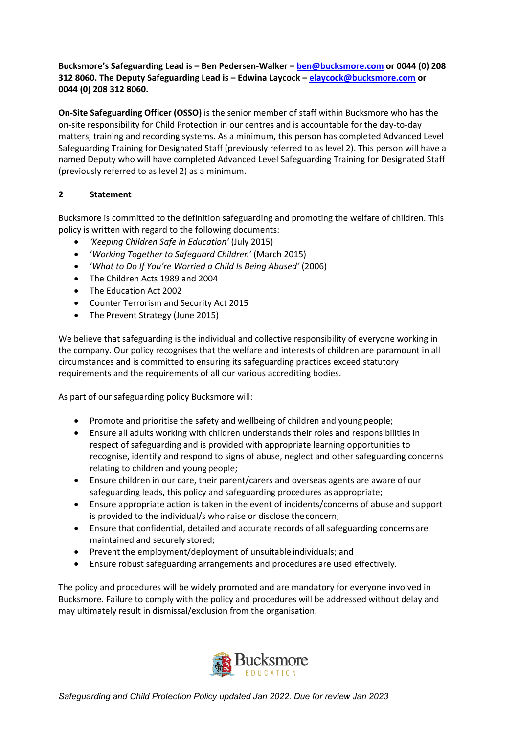## **Bucksmore's Safeguarding Lead is – Ben Pedersen-Walker – [ben@bucksmore.com](mailto:ben@bucksmore.com) or 0044 (0) 208 312 8060. The Deputy Safeguarding Lead is – Edwina Laycock – [elaycock@bucksmore.com](mailto:elaycock@bucksmore.com) or 0044 (0) 208 312 8060.**

**On-Site Safeguarding Officer (OSSO)** is the senior member of staff within Bucksmore who has the on-site responsibility for Child Protection in our centres and is accountable for the day-to-day matters, training and recording systems. As a minimum, this person has completed Advanced Level Safeguarding Training for Designated Staff (previously referred to as level 2). This person will have a named Deputy who will have completed Advanced Level Safeguarding Training for Designated Staff (previously referred to as level 2) as a minimum.

# **2 Statement**

Bucksmore is committed to the definition safeguarding and promoting the welfare of children. This policy is written with regard to the following documents:

- *'Keeping Children Safe in Education'* (July 2015)
- '*Working Together to Safeguard Children'* (March 2015)
- '*What to Do If You're Worried a Child Is Being Abused'* (2006)
- The Children Acts 1989 and 2004
- The Education Act 2002
- Counter Terrorism and Security Act 2015
- The Prevent Strategy (June 2015)

We believe that safeguarding is the individual and collective responsibility of everyone working in the company. Our policy recognises that the welfare and interests of children are paramount in all circumstances and is committed to ensuring its safeguarding practices exceed statutory requirements and the requirements of all our various accrediting bodies.

As part of our safeguarding policy Bucksmore will:

- Promote and prioritise the safety and wellbeing of children and youngpeople;
- Ensure all adults working with children understands their roles and responsibilities in respect of safeguarding and is provided with appropriate learning opportunities to recognise, identify and respond to signs of abuse, neglect and other safeguarding concerns relating to children and young people;
- Ensure children in our care, their parent/carers and overseas agents are aware of our safeguarding leads, this policy and safeguarding procedures as appropriate;
- Ensure appropriate action is taken in the event of incidents/concerns of abuse and support is provided to the individual/s who raise or disclose theconcern;
- Ensure that confidential, detailed and accurate records of all safeguarding concernsare maintained and securely stored;
- Prevent the employment/deployment of unsuitable individuals; and
- Ensure robust safeguarding arrangements and procedures are used effectively.

The policy and procedures will be widely promoted and are mandatory for everyone involved in Bucksmore. Failure to comply with the policy and procedures will be addressed without delay and may ultimately result in dismissal/exclusion from the organisation.

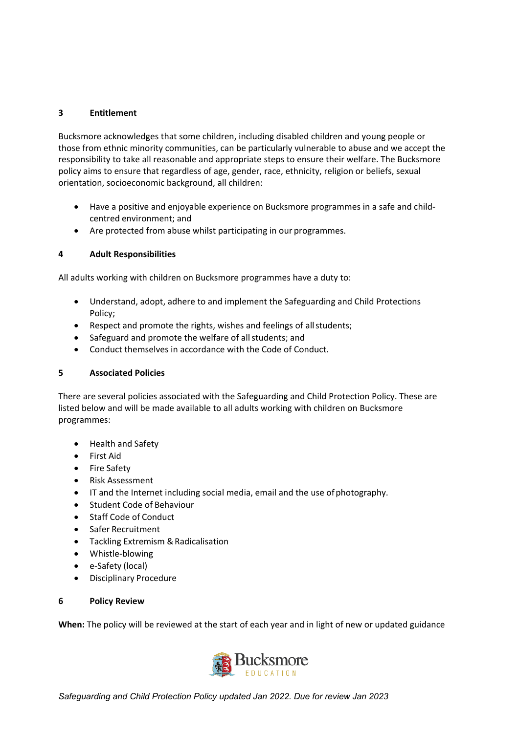## **3 Entitlement**

Bucksmore acknowledges that some children, including disabled children and young people or those from ethnic minority communities, can be particularly vulnerable to abuse and we accept the responsibility to take all reasonable and appropriate steps to ensure their welfare. The Bucksmore policy aims to ensure that regardless of age, gender, race, ethnicity, religion or beliefs, sexual orientation, socioeconomic background, all children:

- Have a positive and enjoyable experience on Bucksmore programmes in a safe and childcentred environment; and
- Are protected from abuse whilst participating in our programmes.

# **4 Adult Responsibilities**

All adults working with children on Bucksmore programmes have a duty to:

- Understand, adopt, adhere to and implement the Safeguarding and Child Protections Policy;
- Respect and promote the rights, wishes and feelings of allstudents;
- Safeguard and promote the welfare of allstudents; and
- Conduct themselves in accordance with the Code of Conduct.

## **5 Associated Policies**

There are several policies associated with the Safeguarding and Child Protection Policy. These are listed below and will be made available to all adults working with children on Bucksmore programmes:

- Health and Safety
- First Aid
- Fire Safety
- Risk Assessment
- IT and the Internet including social media, email and the use ofphotography.
- Student Code of Behaviour
- **Staff Code of Conduct**
- Safer Recruitment
- Tackling Extremism & Radicalisation
- Whistle-blowing
- e-Safety (local)
- Disciplinary Procedure

## **6 Policy Review**

**When:** The policy will be reviewed at the start of each year and in light of new or updated guidance

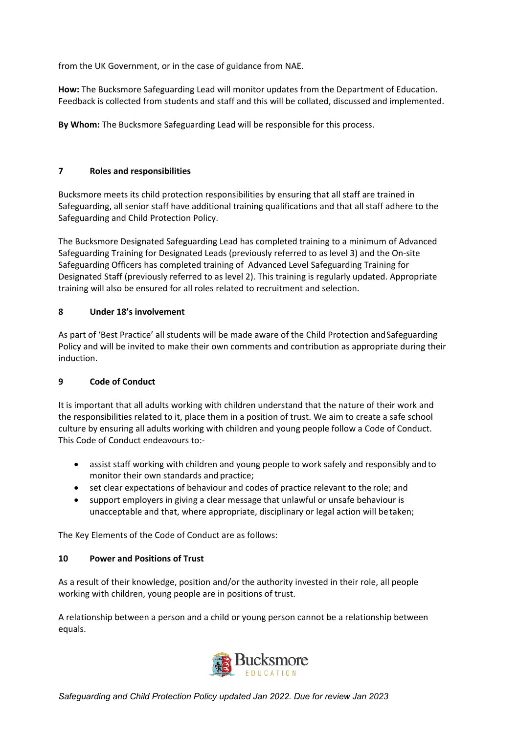from the UK Government, or in the case of guidance from NAE.

**How:** The Bucksmore Safeguarding Lead will monitor updates from the Department of Education. Feedback is collected from students and staff and this will be collated, discussed and implemented.

**By Whom:** The Bucksmore Safeguarding Lead will be responsible for this process.

# **7 Roles and responsibilities**

Bucksmore meets its child protection responsibilities by ensuring that all staff are trained in Safeguarding, all senior staff have additional training qualifications and that all staff adhere to the Safeguarding and Child Protection Policy.

The Bucksmore Designated Safeguarding Lead has completed training to a minimum of Advanced Safeguarding Training for Designated Leads (previously referred to as level 3) and the On-site Safeguarding Officers has completed training of Advanced Level Safeguarding Training for Designated Staff (previously referred to as level 2). This training is regularly updated. Appropriate training will also be ensured for all roles related to recruitment and selection.

## **8 Under 18's involvement**

As part of 'Best Practice' all students will be made aware of the Child Protection andSafeguarding Policy and will be invited to make their own comments and contribution as appropriate during their induction.

## **9 Code of Conduct**

It is important that all adults working with children understand that the nature of their work and the responsibilities related to it, place them in a position of trust. We aim to create a safe school culture by ensuring all adults working with children and young people follow a Code of Conduct. This Code of Conduct endeavours to:-

- assist staff working with children and young people to work safely and responsibly and to monitor their own standards and practice;
- set clear expectations of behaviour and codes of practice relevant to the role; and
- support employers in giving a clear message that unlawful or unsafe behaviour is unacceptable and that, where appropriate, disciplinary or legal action will betaken;

The Key Elements of the Code of Conduct are as follows:

## **10 Power and Positions of Trust**

As a result of their knowledge, position and/or the authority invested in their role, all people working with children, young people are in positions of trust.

A relationship between a person and a child or young person cannot be a relationship between equals.

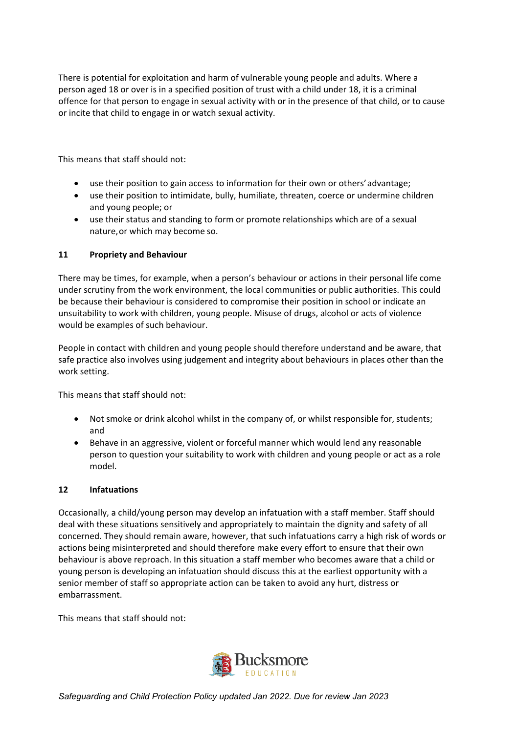There is potential for exploitation and harm of vulnerable young people and adults. Where a person aged 18 or over is in a specified position of trust with a child under 18, it is a criminal offence for that person to engage in sexual activity with or in the presence of that child, or to cause or incite that child to engage in or watch sexual activity.

This means that staff should not:

- use their position to gain access to information for their own or others' advantage;
- use their position to intimidate, bully, humiliate, threaten, coerce or undermine children and young people; or
- use their status and standing to form or promote relationships which are of a sexual nature,or which may become so.

## **11 Propriety and Behaviour**

There may be times, for example, when a person's behaviour or actions in their personal life come under scrutiny from the work environment, the local communities or public authorities. This could be because their behaviour is considered to compromise their position in school or indicate an unsuitability to work with children, young people. Misuse of drugs, alcohol or acts of violence would be examples of such behaviour.

People in contact with children and young people should therefore understand and be aware, that safe practice also involves using judgement and integrity about behaviours in places other than the work setting.

This means that staff should not:

- Not smoke or drink alcohol whilst in the company of, or whilst responsible for, students; and
- Behave in an aggressive, violent or forceful manner which would lend any reasonable person to question your suitability to work with children and young people or act as a role model.

## **12 Infatuations**

Occasionally, a child/young person may develop an infatuation with a staff member. Staff should deal with these situations sensitively and appropriately to maintain the dignity and safety of all concerned. They should remain aware, however, that such infatuations carry a high risk of words or actions being misinterpreted and should therefore make every effort to ensure that their own behaviour is above reproach. In this situation a staff member who becomes aware that a child or young person is developing an infatuation should discuss this at the earliest opportunity with a senior member of staff so appropriate action can be taken to avoid any hurt, distress or embarrassment.

This means that staff should not:

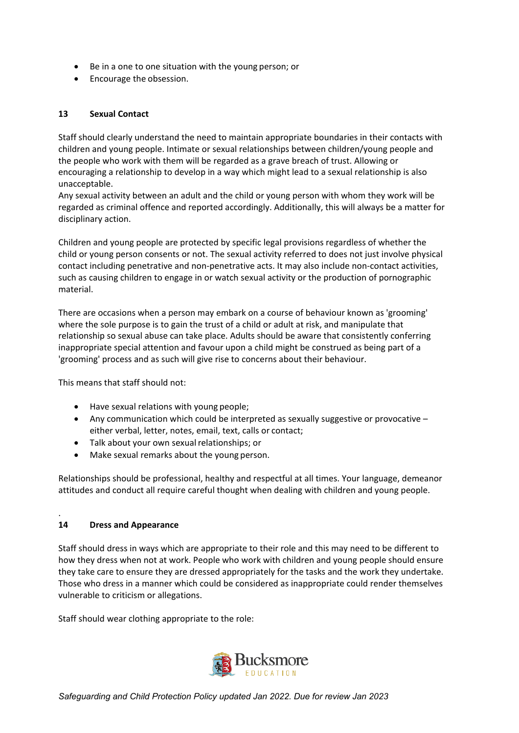- Be in a one to one situation with the young person; or
- Encourage the obsession.

## **13 Sexual Contact**

Staff should clearly understand the need to maintain appropriate boundaries in their contacts with children and young people. Intimate or sexual relationships between children/young people and the people who work with them will be regarded as a grave breach of trust. Allowing or encouraging a relationship to develop in a way which might lead to a sexual relationship is also unacceptable.

Any sexual activity between an adult and the child or young person with whom they work will be regarded as criminal offence and reported accordingly. Additionally, this will always be a matter for disciplinary action.

Children and young people are protected by specific legal provisions regardless of whether the child or young person consents or not. The sexual activity referred to does not just involve physical contact including penetrative and non-penetrative acts. It may also include non-contact activities, such as causing children to engage in or watch sexual activity or the production of pornographic material.

There are occasions when a person may embark on a course of behaviour known as 'grooming' where the sole purpose is to gain the trust of a child or adult at risk, and manipulate that relationship so sexual abuse can take place. Adults should be aware that consistently conferring inappropriate special attention and favour upon a child might be construed as being part of a 'grooming' process and as such will give rise to concerns about their behaviour.

This means that staff should not:

- Have sexual relations with young people;
- Any communication which could be interpreted as sexually suggestive or provocative  $$ either verbal, letter, notes, email, text, calls or contact;
- Talk about your own sexual relationships; or
- Make sexual remarks about the young person.

Relationships should be professional, healthy and respectful at all times. Your language, demeanor attitudes and conduct all require careful thought when dealing with children and young people.

## **14 Dress and Appearance**

.

Staff should dress in ways which are appropriate to their role and this may need to be different to how they dress when not at work. People who work with children and young people should ensure they take care to ensure they are dressed appropriately for the tasks and the work they undertake. Those who dress in a manner which could be considered as inappropriate could render themselves vulnerable to criticism or allegations.

Staff should wear clothing appropriate to the role:

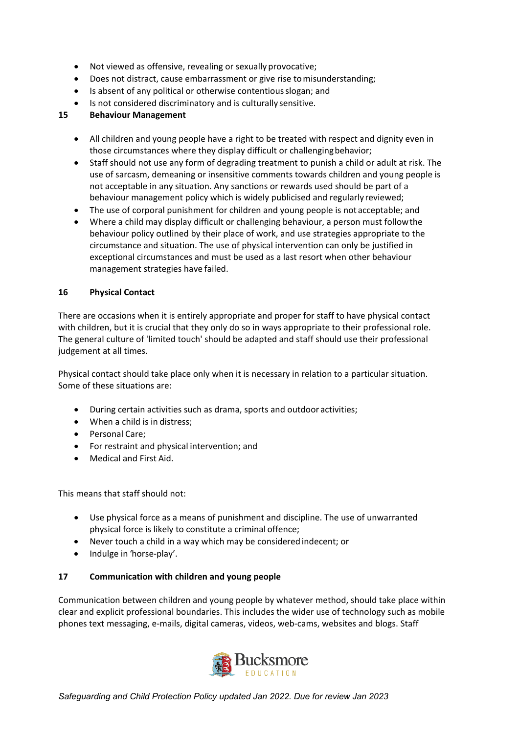- Not viewed as offensive, revealing or sexually provocative;
- Does not distract, cause embarrassment or give rise tomisunderstanding;
- Is absent of any political or otherwise contentiousslogan; and
- Is not considered discriminatory and is culturally sensitive.

#### **15 Behaviour Management**

- All children and young people have a right to be treated with respect and dignity even in those circumstances where they display difficult or challengingbehavior;
- Staff should not use any form of degrading treatment to punish a child or adult at risk. The use of sarcasm, demeaning or insensitive comments towards children and young people is not acceptable in any situation. Any sanctions or rewards used should be part of a behaviour management policy which is widely publicised and regularly reviewed;
- The use of corporal punishment for children and young people is not acceptable; and
- Where a child may display difficult or challenging behaviour, a person must followthe behaviour policy outlined by their place of work, and use strategies appropriate to the circumstance and situation. The use of physical intervention can only be justified in exceptional circumstances and must be used as a last resort when other behaviour management strategies have failed.

#### **16 Physical Contact**

There are occasions when it is entirely appropriate and proper for staff to have physical contact with children, but it is crucial that they only do so in ways appropriate to their professional role. The general culture of 'limited touch' should be adapted and staff should use their professional judgement at all times.

Physical contact should take place only when it is necessary in relation to a particular situation. Some of these situations are:

- During certain activities such as drama, sports and outdoor activities;
- When a child is in distress;
- Personal Care;
- For restraint and physical intervention; and
- Medical and First Aid.

This means that staff should not:

- Use physical force as a means of punishment and discipline. The use of unwarranted physical force is likely to constitute a criminal offence;
- Never touch a child in a way which may be considered indecent; or
- Indulge in 'horse-play'.

#### **17 Communication with children and young people**

Communication between children and young people by whatever method, should take place within clear and explicit professional boundaries. This includes the wider use of technology such as mobile phones text messaging, e-mails, digital cameras, videos, web-cams, websites and blogs. Staff

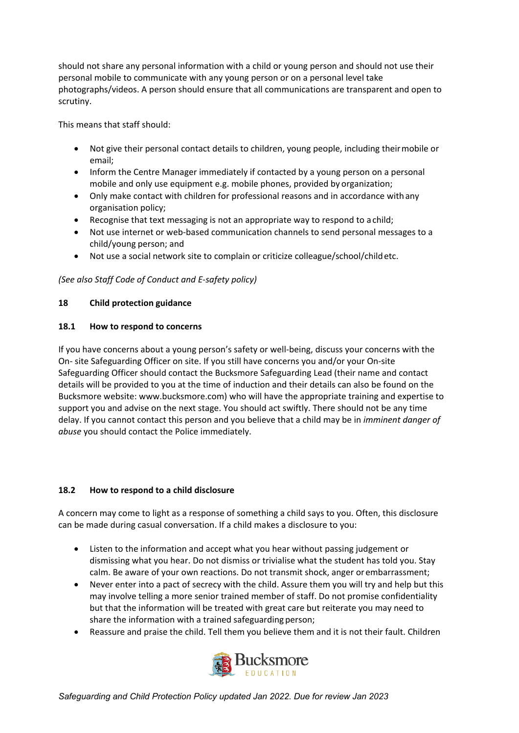should not share any personal information with a child or young person and should not use their personal mobile to communicate with any young person or on a personal level take photographs/videos. A person should ensure that all communications are transparent and open to scrutiny.

This means that staff should:

- Not give their personal contact details to children, young people, including theirmobile or email;
- Inform the Centre Manager immediately if contacted by a young person on a personal mobile and only use equipment e.g. mobile phones, provided by organization;
- Only make contact with children for professional reasons and in accordance withany organisation policy;
- Recognise that text messaging is not an appropriate way to respond to achild;
- Not use internet or web-based communication channels to send personal messages to a child/young person; and
- Not use a social network site to complain or criticize colleague/school/childetc.

# *(See also Staff Code of Conduct and E-safety policy)*

## **18 Child protection guidance**

## **18.1 How to respond to concerns**

If you have concerns about a young person's safety or well-being, discuss your concerns with the On- site Safeguarding Officer on site. If you still have concerns you and/or your On-site Safeguarding Officer should contact the Bucksmore Safeguarding Lead (their name and contact details will be provided to you at the time of induction and their details can also be found on the Bucksmore website: www.bucksmore.com) who will have the appropriate training and expertise to support you and advise on the next stage. You should act swiftly. There should not be any time delay. If you cannot contact this person and you believe that a child may be in *imminent danger of abuse* you should contact the Police immediately.

## **18.2 How to respond to a child disclosure**

A concern may come to light as a response of something a child says to you. Often, this disclosure can be made during casual conversation. If a child makes a disclosure to you:

- Listen to the information and accept what you hear without passing judgement or dismissing what you hear. Do not dismiss or trivialise what the student has told you. Stay calm. Be aware of your own reactions. Do not transmit shock, anger orembarrassment;
- Never enter into a pact of secrecy with the child. Assure them you will try and help but this may involve telling a more senior trained member of staff. Do not promise confidentiality but that the information will be treated with great care but reiterate you may need to share the information with a trained safeguarding person;
- Reassure and praise the child. Tell them you believe them and it is not their fault. Children



*Safeguarding and Child Protection Policy updated Jan 2022. Due for review Jan 2023*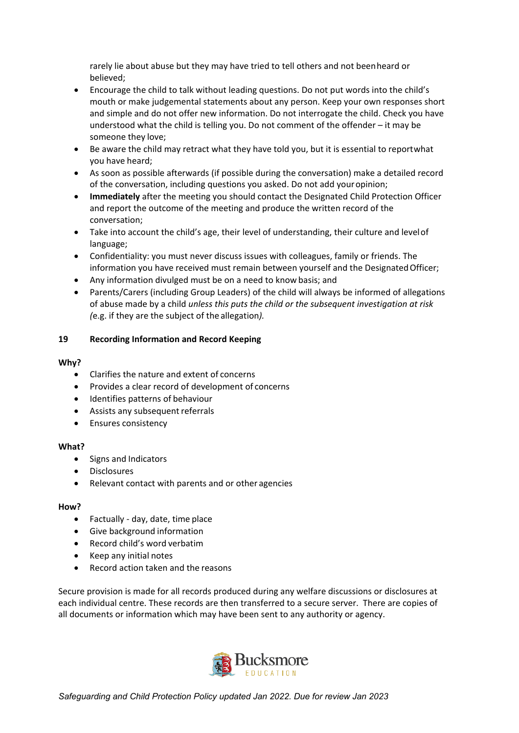rarely lie about abuse but they may have tried to tell others and not beenheard or believed;

- Encourage the child to talk without leading questions. Do not put words into the child's mouth or make judgemental statements about any person. Keep your own responses short and simple and do not offer new information. Do not interrogate the child. Check you have understood what the child is telling you. Do not comment of the offender – it may be someone they love;
- Be aware the child may retract what they have told you, but it is essential to reportwhat you have heard;
- As soon as possible afterwards (if possible during the conversation) make a detailed record of the conversation, including questions you asked. Do not add youropinion;
- **Immediately** after the meeting you should contact the Designated Child Protection Officer and report the outcome of the meeting and produce the written record of the conversation;
- Take into account the child's age, their level of understanding, their culture and levelof language;
- Confidentiality: you must never discuss issues with colleagues, family or friends. The information you have received must remain between yourself and the DesignatedOfficer;
- Any information divulged must be on a need to know basis; and
- Parents/Carers (including Group Leaders) of the child will always be informed of allegations of abuse made by a child *unless this puts the child or the subsequent investigation at risk (*e.g. if they are the subject of the allegation*).*

## **19 Recording Information and Record Keeping**

#### **Why?**

- Clarifies the nature and extent of concerns
- Provides a clear record of development of concerns
- Identifies patterns of behaviour
- Assists any subsequent referrals
- Ensures consistency

#### **What?**

- Signs and Indicators
- **Disclosures**
- Relevant contact with parents and or other agencies

#### **How?**

- Factually day, date, time place
- Give background information
- Record child's word verbatim
- Keep any initial notes
- Record action taken and the reasons

Secure provision is made for all records produced during any welfare discussions or disclosures at each individual centre. These records are then transferred to a secure server. There are copies of all documents or information which may have been sent to any authority or agency.

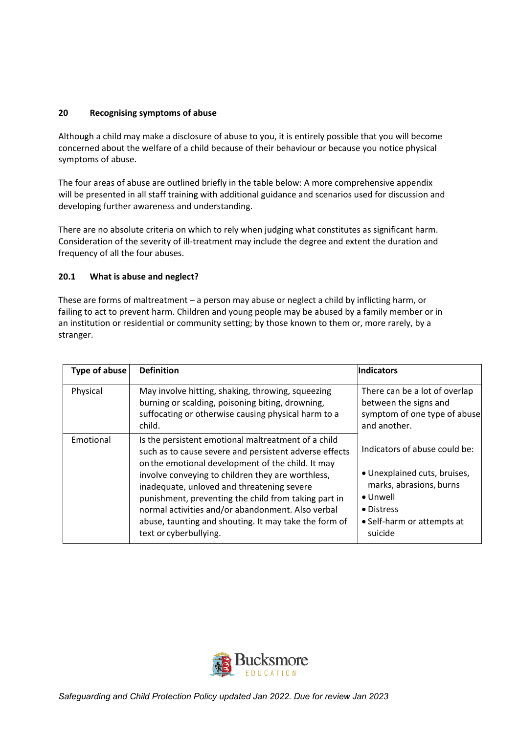## **20 Recognising symptoms of abuse**

Although a child may make a disclosure of abuse to you, it is entirely possible that you will become concerned about the welfare of a child because of their behaviour or because you notice physical symptoms of abuse.

The four areas of abuse are outlined briefly in the table below: A more comprehensive appendix will be presented in all staff training with additional guidance and scenarios used for discussion and developing further awareness and understanding.

There are no absolute criteria on which to rely when judging what constitutes as significant harm. Consideration of the severity of ill-treatment may include the degree and extent the duration and frequency of all the four abuses.

## **20.1 What is abuse and neglect?**

These are forms of maltreatment – a person may abuse or neglect a child by inflicting harm, or failing to act to prevent harm. Children and young people may be abused by a family member or in an institution or residential or community setting; by those known to them or, more rarely, by a stranger.

| Type of abuse | <b>Definition</b>                                                                                                                                                                                                                                                                                                                                                                                                                                                     | <b>Indicators</b>                                                                                                                                                   |
|---------------|-----------------------------------------------------------------------------------------------------------------------------------------------------------------------------------------------------------------------------------------------------------------------------------------------------------------------------------------------------------------------------------------------------------------------------------------------------------------------|---------------------------------------------------------------------------------------------------------------------------------------------------------------------|
| Physical      | May involve hitting, shaking, throwing, squeezing<br>burning or scalding, poisoning biting, drowning,<br>suffocating or otherwise causing physical harm to a<br>child.                                                                                                                                                                                                                                                                                                | There can be a lot of overlap<br>between the signs and<br>symptom of one type of abuse<br>and another.                                                              |
| Emotional     | Is the persistent emotional maltreatment of a child<br>such as to cause severe and persistent adverse effects<br>on the emotional development of the child. It may<br>involve conveying to children they are worthless,<br>inadequate, unloved and threatening severe<br>punishment, preventing the child from taking part in<br>normal activities and/or abandonment. Also verbal<br>abuse, taunting and shouting. It may take the form of<br>text or cyberbullying. | Indicators of abuse could be:<br>• Unexplained cuts, bruises,<br>marks, abrasions, burns<br>$\bullet$ Unwell<br>• Distress<br>• Self-harm or attempts at<br>suicide |

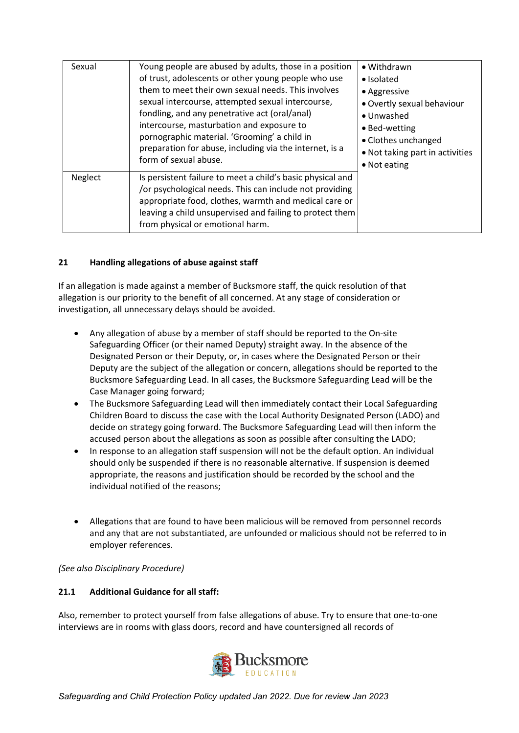| Sexual  | Young people are abused by adults, those in a position<br>of trust, adolescents or other young people who use<br>them to meet their own sexual needs. This involves<br>sexual intercourse, attempted sexual intercourse,<br>fondling, and any penetrative act (oral/anal)<br>intercourse, masturbation and exposure to<br>pornographic material. 'Grooming' a child in<br>preparation for abuse, including via the internet, is a<br>form of sexual abuse. | • Withdrawn<br>• Isolated<br>• Aggressive<br>• Overtly sexual behaviour<br>• Unwashed<br>• Bed-wetting<br>• Clothes unchanged<br>• Not taking part in activities<br>• Not eating |
|---------|------------------------------------------------------------------------------------------------------------------------------------------------------------------------------------------------------------------------------------------------------------------------------------------------------------------------------------------------------------------------------------------------------------------------------------------------------------|----------------------------------------------------------------------------------------------------------------------------------------------------------------------------------|
| Neglect | Is persistent failure to meet a child's basic physical and<br>/or psychological needs. This can include not providing<br>appropriate food, clothes, warmth and medical care or<br>leaving a child unsupervised and failing to protect them<br>from physical or emotional harm.                                                                                                                                                                             |                                                                                                                                                                                  |

## **21 Handling allegations of abuse against staff**

If an allegation is made against a member of Bucksmore staff, the quick resolution of that allegation is our priority to the benefit of all concerned. At any stage of consideration or investigation, all unnecessary delays should be avoided.

- Any allegation of abuse by a member of staff should be reported to the On-site Safeguarding Officer (or their named Deputy) straight away. In the absence of the Designated Person or their Deputy, or, in cases where the Designated Person or their Deputy are the subject of the allegation or concern, allegations should be reported to the Bucksmore Safeguarding Lead. In all cases, the Bucksmore Safeguarding Lead will be the Case Manager going forward;
- The Bucksmore Safeguarding Lead will then immediately contact their Local Safeguarding Children Board to discuss the case with the Local Authority Designated Person (LADO) and decide on strategy going forward. The Bucksmore Safeguarding Lead will then inform the accused person about the allegations as soon as possible after consulting the LADO;
- In response to an allegation staff suspension will not be the default option. An individual should only be suspended if there is no reasonable alternative. If suspension is deemed appropriate, the reasons and justification should be recorded by the school and the individual notified of the reasons;
- Allegations that are found to have been malicious will be removed from personnel records and any that are not substantiated, are unfounded or malicious should not be referred to in employer references.

*(See also Disciplinary Procedure)*

## **21.1 Additional Guidance for all staff:**

Also, remember to protect yourself from false allegations of abuse. Try to ensure that one-to-one interviews are in rooms with glass doors, record and have countersigned all records of

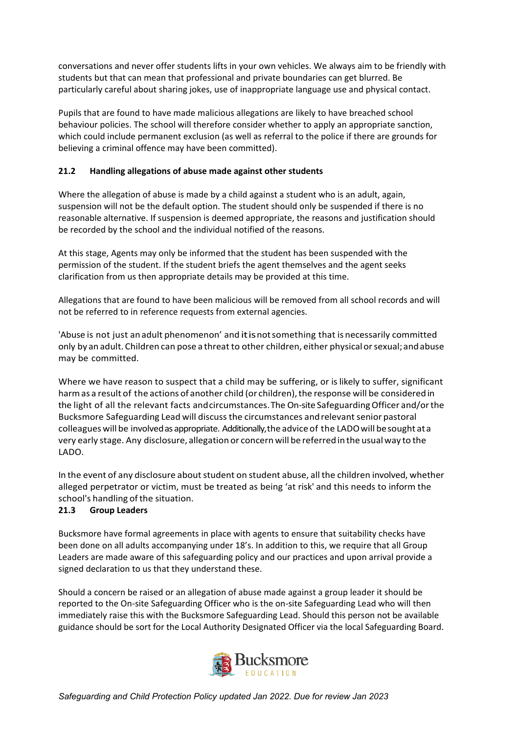conversations and never offer students lifts in your own vehicles. We always aim to be friendly with students but that can mean that professional and private boundaries can get blurred. Be particularly careful about sharing jokes, use of inappropriate language use and physical contact.

Pupils that are found to have made malicious allegations are likely to have breached school behaviour policies. The school will therefore consider whether to apply an appropriate sanction, which could include permanent exclusion (as well as referral to the police if there are grounds for believing a criminal offence may have been committed).

# **21.2 Handling allegations of abuse made against other students**

Where the allegation of abuse is made by a child against a student who is an adult, again, suspension will not be the default option. The student should only be suspended if there is no reasonable alternative. If suspension is deemed appropriate, the reasons and justification should be recorded by the school and the individual notified of the reasons.

At this stage, Agents may only be informed that the student has been suspended with the permission of the student. If the student briefs the agent themselves and the agent seeks clarification from us then appropriate details may be provided at this time.

Allegations that are found to have been malicious will be removed from all school records and will not be referred to in reference requests from external agencies.

'Abuse is not just anadult phenomenon' and itisnotsomething that is necessarily committed only by an adult. Children can pose a threat to other children, either physical or sexual; and abuse may be committed.

Where we have reason to suspect that a child may be suffering, or is likely to suffer, significant harm as a result of the actions of another child (or children), the response will be considered in the light of all the relevant facts andcircumstances. The On-site Safeguarding Officer and/or the Bucksmore Safeguarding Lead will discuss the circumstances and relevant senior pastoral colleagues will be involved as appropriate. Additionally, the advice of the LADO will be sought at a very early stage. Any disclosure, allegation or concern will be referredin the usualway to the LADO.

In the event of any disclosure about student on student abuse, all the children involved, whether alleged perpetrator or victim, must be treated as being 'at risk' and this needs to inform the school's handling of the situation.

# **21.3 Group Leaders**

Bucksmore have formal agreements in place with agents to ensure that suitability checks have been done on all adults accompanying under 18's. In addition to this, we require that all Group Leaders are made aware of this safeguarding policy and our practices and upon arrival provide a signed declaration to us that they understand these.

Should a concern be raised or an allegation of abuse made against a group leader it should be reported to the On-site Safeguarding Officer who is the on-site Safeguarding Lead who will then immediately raise this with the Bucksmore Safeguarding Lead. Should this person not be available guidance should be sort for the Local Authority Designated Officer via the local Safeguarding Board.

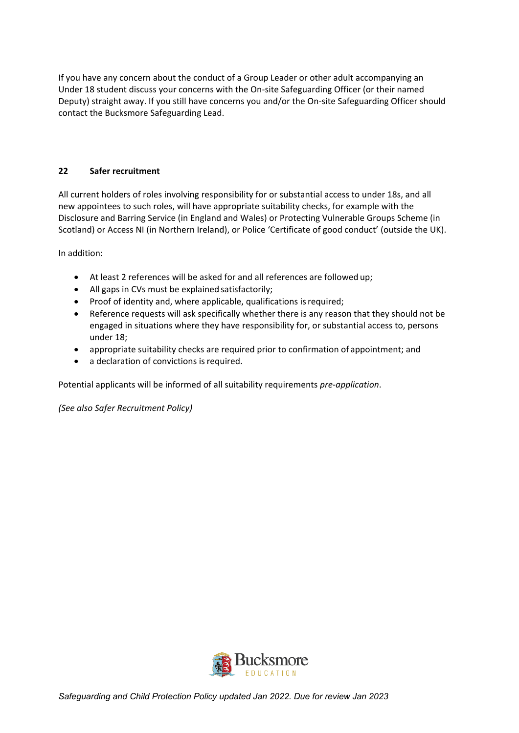If you have any concern about the conduct of a Group Leader or other adult accompanying an Under 18 student discuss your concerns with the On-site Safeguarding Officer (or their named Deputy) straight away. If you still have concerns you and/or the On-site Safeguarding Officer should contact the Bucksmore Safeguarding Lead.

## **22 Safer recruitment**

All current holders of roles involving responsibility for or substantial access to under 18s, and all new appointees to such roles, will have appropriate suitability checks, for example with the Disclosure and Barring Service (in England and Wales) or Protecting Vulnerable Groups Scheme (in Scotland) or Access NI (in Northern Ireland), or Police 'Certificate of good conduct' (outside the UK).

In addition:

- At least 2 references will be asked for and all references are followed up;
- All gaps in CVs must be explained satisfactorily;
- Proof of identity and, where applicable, qualifications is required;
- Reference requests will ask specifically whether there is any reason that they should not be engaged in situations where they have responsibility for, or substantial access to, persons under 18;
- appropriate suitability checks are required prior to confirmation of appointment; and
- a declaration of convictions is required.

Potential applicants will be informed of all suitability requirements *pre-application*.

*(See also Safer Recruitment Policy)* 

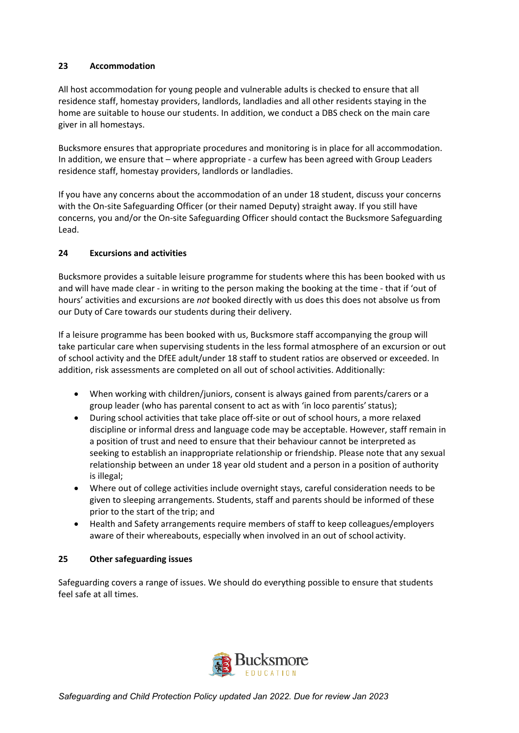## **23 Accommodation**

All host accommodation for young people and vulnerable adults is checked to ensure that all residence staff, homestay providers, landlords, landladies and all other residents staying in the home are suitable to house our students. In addition, we conduct a DBS check on the main care giver in all homestays.

Bucksmore ensures that appropriate procedures and monitoring is in place for all accommodation. In addition, we ensure that – where appropriate - a curfew has been agreed with Group Leaders residence staff, homestay providers, landlords or landladies.

If you have any concerns about the accommodation of an under 18 student, discuss your concerns with the On-site Safeguarding Officer (or their named Deputy) straight away. If you still have concerns, you and/or the On-site Safeguarding Officer should contact the Bucksmore Safeguarding Lead.

# **24 Excursions and activities**

Bucksmore provides a suitable leisure programme for students where this has been booked with us and will have made clear - in writing to the person making the booking at the time - that if 'out of hours' activities and excursions are *not* booked directly with us does this does not absolve us from our Duty of Care towards our students during their delivery.

If a leisure programme has been booked with us, Bucksmore staff accompanying the group will take particular care when supervising students in the less formal atmosphere of an excursion or out of school activity and the DfEE adult/under 18 staff to student ratios are observed or exceeded. In addition, risk assessments are completed on all out of school activities. Additionally:

- When working with children/juniors, consent is always gained from parents/carers or a group leader (who has parental consent to act as with 'in loco parentis'status);
- During school activities that take place off-site or out of school hours, a more relaxed discipline or informal dress and language code may be acceptable. However, staff remain in a position of trust and need to ensure that their behaviour cannot be interpreted as seeking to establish an inappropriate relationship or friendship. Please note that any sexual relationship between an under 18 year old student and a person in a position of authority is illegal;
- Where out of college activities include overnight stays, careful consideration needs to be given to sleeping arrangements. Students, staff and parents should be informed of these prior to the start of the trip; and
- Health and Safety arrangements require members of staff to keep colleagues/employers aware of their whereabouts, especially when involved in an out of school activity.

## **25 Other safeguarding issues**

Safeguarding covers a range of issues. We should do everything possible to ensure that students feel safe at all times.

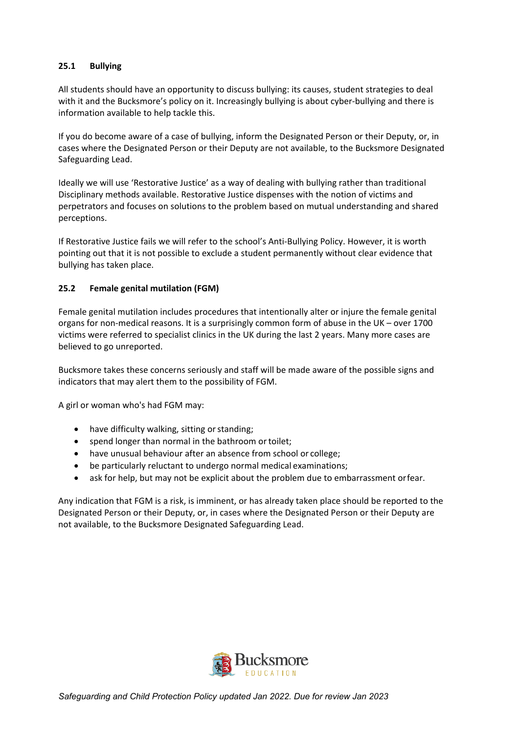## **25.1 Bullying**

All students should have an opportunity to discuss bullying: its causes, student strategies to deal with it and the Bucksmore's policy on it. Increasingly bullying is about cyber-bullying and there is information available to help tackle this.

If you do become aware of a case of bullying, inform the Designated Person or their Deputy, or, in cases where the Designated Person or their Deputy are not available, to the Bucksmore Designated Safeguarding Lead.

Ideally we will use 'Restorative Justice' as a way of dealing with bullying rather than traditional Disciplinary methods available. Restorative Justice dispenses with the notion of victims and perpetrators and focuses on solutions to the problem based on mutual understanding and shared perceptions.

If Restorative Justice fails we will refer to the school's Anti-Bullying Policy. However, it is worth pointing out that it is not possible to exclude a student permanently without clear evidence that bullying has taken place.

#### **25.2 Female genital mutilation (FGM)**

Female genital mutilation includes procedures that intentionally alter or injure the female genital organs for non-medical reasons. It is a surprisingly common form of abuse in the UK – over 1700 victims were referred to specialist clinics in the UK during the last 2 years. Many more cases are believed to go unreported.

Bucksmore takes these concerns seriously and staff will be made aware of the possible signs and indicators that may alert them to the possibility of FGM.

A girl or woman who's had FGM may:

- have difficulty walking, sitting or standing;
- spend longer than normal in the bathroom or toilet;
- have unusual behaviour after an absence from school or college:
- be particularly reluctant to undergo normal medical examinations;
- ask for help, but may not be explicit about the problem due to embarrassment orfear.

Any indication that FGM is a risk, is imminent, or has already taken place should be reported to the Designated Person or their Deputy, or, in cases where the Designated Person or their Deputy are not available, to the Bucksmore Designated Safeguarding Lead.

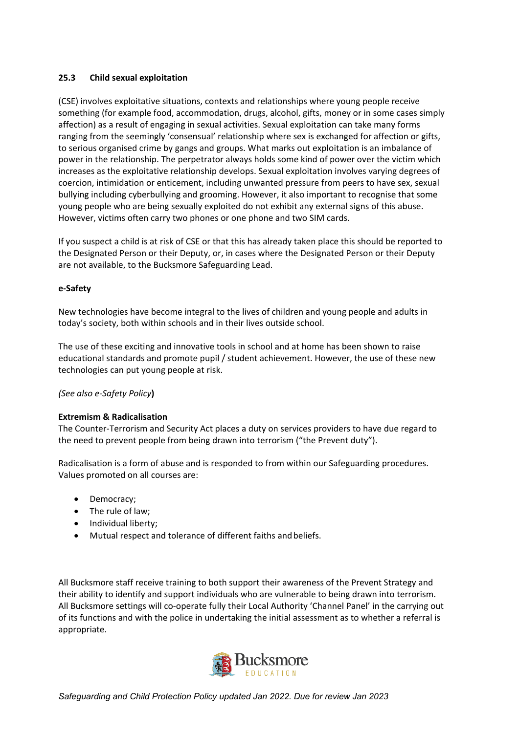## **25.3 Child sexual exploitation**

(CSE) involves exploitative situations, contexts and relationships where young people receive something (for example food, accommodation, drugs, alcohol, gifts, money or in some cases simply affection) as a result of engaging in sexual activities. Sexual exploitation can take many forms ranging from the seemingly 'consensual' relationship where sex is exchanged for affection or gifts, to serious organised crime by gangs and groups. What marks out exploitation is an imbalance of power in the relationship. The perpetrator always holds some kind of power over the victim which increases as the exploitative relationship develops. Sexual exploitation involves varying degrees of coercion, intimidation or enticement, including unwanted pressure from peers to have sex, sexual bullying including cyberbullying and grooming. However, it also important to recognise that some young people who are being sexually exploited do not exhibit any external signs of this abuse. However, victims often carry two phones or one phone and two SIM cards.

If you suspect a child is at risk of CSE or that this has already taken place this should be reported to the Designated Person or their Deputy, or, in cases where the Designated Person or their Deputy are not available, to the Bucksmore Safeguarding Lead.

#### **e-Safety**

New technologies have become integral to the lives of children and young people and adults in today's society, both within schools and in their lives outside school.

The use of these exciting and innovative tools in school and at home has been shown to raise educational standards and promote pupil / student achievement. However, the use of these new technologies can put young people at risk.

## *(See also e-Safety Policy***)**

#### **Extremism & Radicalisation**

The Counter-Terrorism and Security Act places a duty on services providers to have due regard to the need to prevent people from being drawn into terrorism ("the Prevent duty").

Radicalisation is a form of abuse and is responded to from within our Safeguarding procedures. Values promoted on all courses are:

- Democracy;
- The rule of law;
- Individual liberty;
- Mutual respect and tolerance of different faiths andbeliefs.

All Bucksmore staff receive training to both support their awareness of the Prevent Strategy and their ability to identify and support individuals who are vulnerable to being drawn into terrorism. All Bucksmore settings will co-operate fully their Local Authority 'Channel Panel' in the carrying out of its functions and with the police in undertaking the initial assessment as to whether a referral is appropriate.

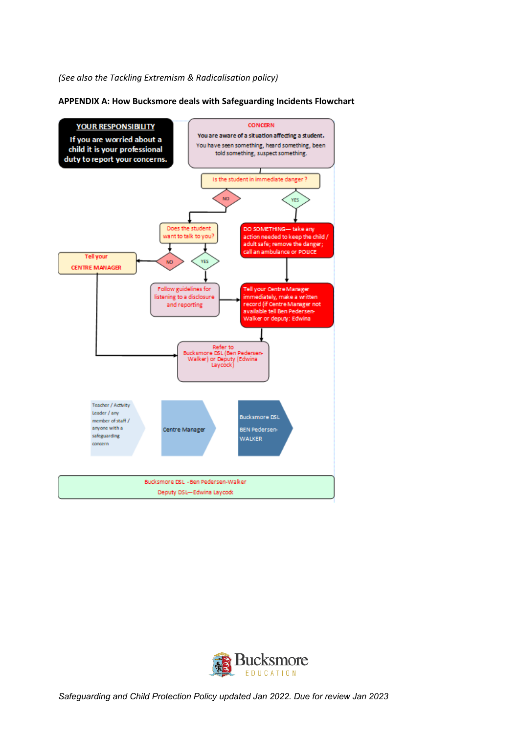#### *(See also the Tackling Extremism & Radicalisation policy)*



**APPENDIX A: How Bucksmore deals with Safeguarding Incidents Flowchart**